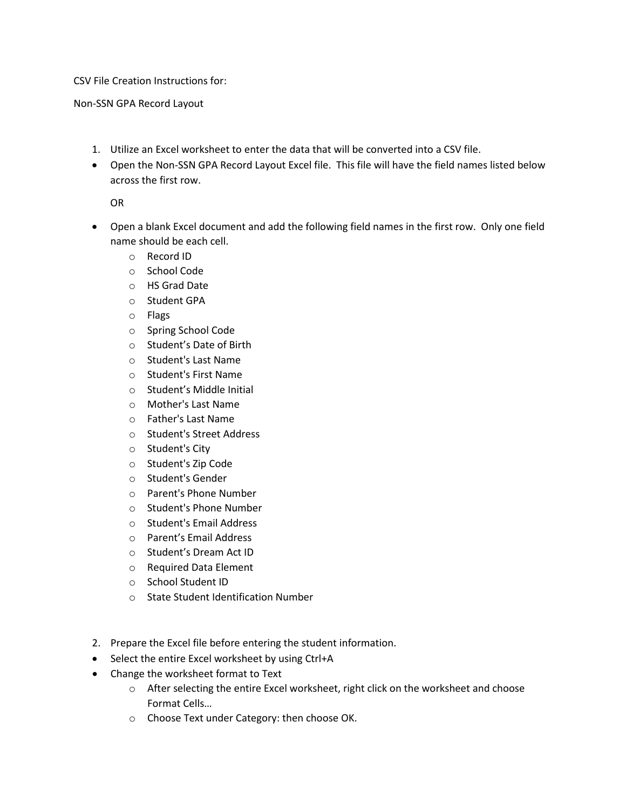CSV File Creation Instructions for:

Non-SSN GPA Record Layout

- 1. Utilize an Excel worksheet to enter the data that will be converted into a CSV file.
- • Open the Non-SSN GPA Record Layout Excel file. This file will have the field names listed below across the first row.

OR

- • Open a blank Excel document and add the following field names in the first row. Only one field name should be each cell.
	- o Record ID
	- o School Code
	- o HS Grad Date
	- o Student GPA
	- o Flags
	- o Spring School Code
	- o Student's Date of Birth
	- o Student's Last Name
	- o Student's First Name
	- o Student's Middle Initial
	- o Mother's Last Name
	- o Father's Last Name
	- o Student's Street Address
	- o Student's City
	- o Student's Zip Code
	- o Student's Gender
	- o Parent's Phone Number
	- o Student's Phone Number
	- o Student's Email Address
	- o Parent's Email Address
	- o Student's Dream Act ID
	- o Required Data Element
	- o School Student ID
	- o State Student Identification Number
- 2. Prepare the Excel file before entering the student information.
- Select the entire Excel worksheet by using Ctrl+A
- Change the worksheet format to Text
	- o After selecting the entire Excel worksheet, right click on the worksheet and choose Format Cells…
	- o Choose Text under Category: then choose OK.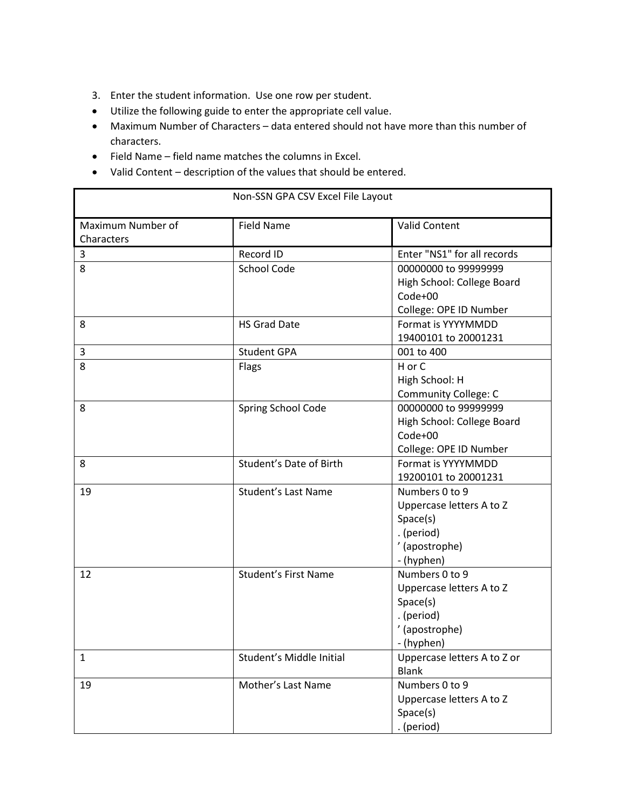- 3. Enter the student information. Use one row per student.
- Utilize the following guide to enter the appropriate cell value.
- • Maximum Number of Characters data entered should not have more than this number of characters.

٦

• Field Name – field name matches the columns in Excel.

Ë

• Valid Content – description of the values that should be entered.

| Non-SSN GPA CSV Excel File Layout |                             |                                                                                                      |  |  |
|-----------------------------------|-----------------------------|------------------------------------------------------------------------------------------------------|--|--|
| Maximum Number of<br>Characters   | <b>Field Name</b>           | <b>Valid Content</b>                                                                                 |  |  |
| 3                                 | Record ID                   | Enter "NS1" for all records                                                                          |  |  |
| 8                                 | School Code                 | 00000000 to 99999999<br>High School: College Board<br>$Code+00$<br>College: OPE ID Number            |  |  |
| 8                                 | <b>HS Grad Date</b>         | Format is YYYYMMDD<br>19400101 to 20001231                                                           |  |  |
| 3                                 | <b>Student GPA</b>          | 001 to 400                                                                                           |  |  |
| 8                                 | Flags                       | H or C<br>High School: H<br><b>Community College: C</b>                                              |  |  |
| 8                                 | Spring School Code          | 00000000 to 99999999<br>High School: College Board<br>Code+00<br>College: OPE ID Number              |  |  |
| 8                                 | Student's Date of Birth     | Format is YYYYMMDD<br>19200101 to 20001231                                                           |  |  |
| 19                                | <b>Student's Last Name</b>  | Numbers 0 to 9<br>Uppercase letters A to Z<br>Space(s)<br>. (period)<br>' (apostrophe)<br>- (hyphen) |  |  |
| 12                                | <b>Student's First Name</b> | Numbers 0 to 9<br>Uppercase letters A to Z<br>Space(s)<br>. (period)<br>' (apostrophe)<br>- (hyphen) |  |  |
| $\mathbf{1}$                      | Student's Middle Initial    | Uppercase letters A to Z or<br><b>Blank</b>                                                          |  |  |
| 19                                | Mother's Last Name          | Numbers 0 to 9<br>Uppercase letters A to Z<br>Space(s)<br>. (period)                                 |  |  |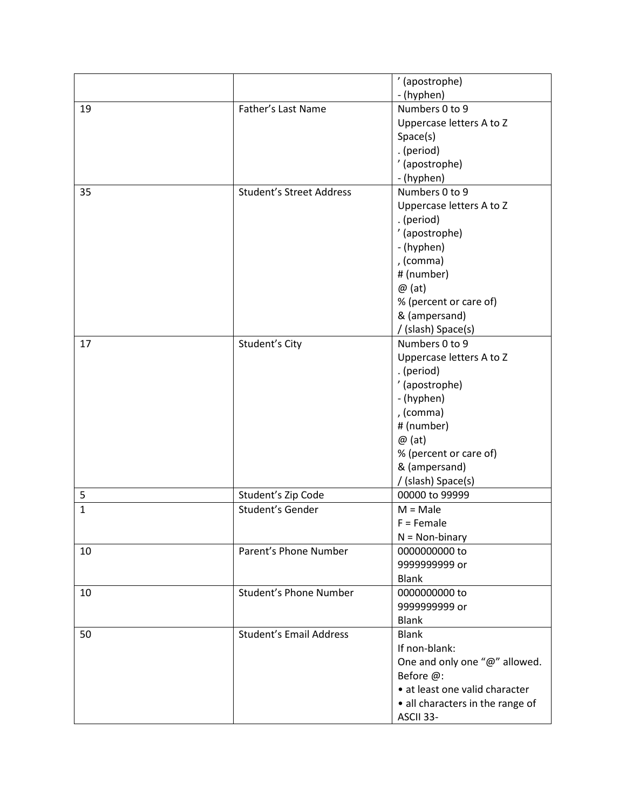|              |                                 | ' (apostrophe)                   |
|--------------|---------------------------------|----------------------------------|
|              |                                 | - (hyphen)                       |
| 19           | Father's Last Name              | Numbers 0 to 9                   |
|              |                                 | Uppercase letters A to Z         |
|              |                                 | Space(s)                         |
|              |                                 | . (period)                       |
|              |                                 | ' (apostrophe)                   |
|              |                                 | - (hyphen)                       |
| 35           | <b>Student's Street Address</b> | Numbers 0 to 9                   |
|              |                                 | Uppercase letters A to Z         |
|              |                                 | . (period)                       |
|              |                                 | ' (apostrophe)                   |
|              |                                 | - (hyphen)                       |
|              |                                 | , (comma)                        |
|              |                                 | # (number)                       |
|              |                                 | $\omega$ (at)                    |
|              |                                 | % (percent or care of)           |
|              |                                 | & (ampersand)                    |
|              |                                 | / (slash) Space(s)               |
| 17           | Student's City                  | Numbers 0 to 9                   |
|              |                                 | Uppercase letters A to Z         |
|              |                                 | . (period)                       |
|              |                                 | ' (apostrophe)                   |
|              |                                 | - (hyphen)                       |
|              |                                 | , (comma)                        |
|              |                                 | # (number)                       |
|              |                                 | $\omega$ (at)                    |
|              |                                 | % (percent or care of)           |
|              |                                 | & (ampersand)                    |
|              |                                 | / (slash) Space(s)               |
| 5            | Student's Zip Code              | 00000 to 99999                   |
| $\mathbf{1}$ | Student's Gender                | $M = Male$                       |
|              |                                 | $F =$ Female                     |
|              |                                 | $N = Non-binary$                 |
| 10           | Parent's Phone Number           | 0000000000 to                    |
|              |                                 | 999999999 or                     |
|              |                                 | <b>Blank</b>                     |
| 10           | Student's Phone Number          | 0000000000 to                    |
|              |                                 | 999999999 or                     |
|              |                                 | <b>Blank</b>                     |
| 50           | <b>Student's Email Address</b>  | <b>Blank</b>                     |
|              |                                 | If non-blank:                    |
|              |                                 | One and only one "@" allowed.    |
|              |                                 | Before @:                        |
|              |                                 | • at least one valid character   |
|              |                                 | • all characters in the range of |
|              |                                 | ASCII 33-                        |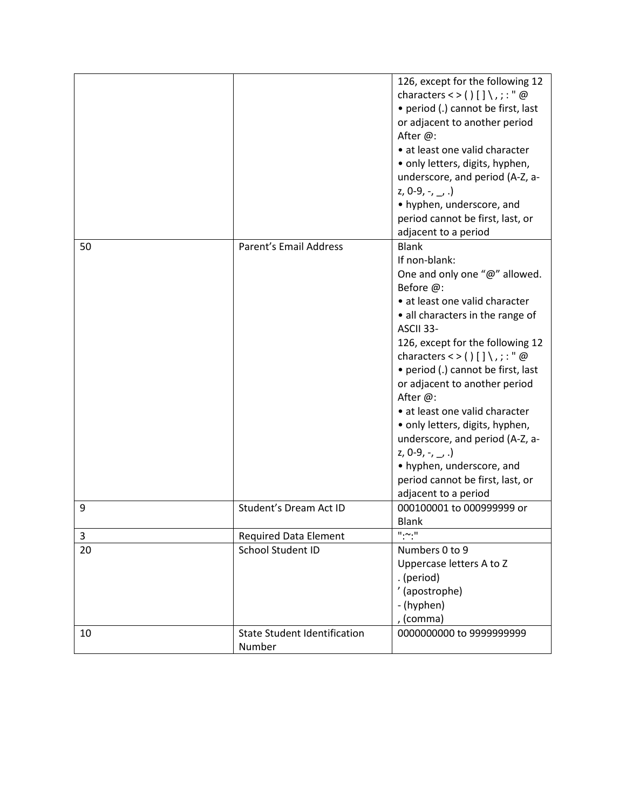|    |                                               | 126, except for the following 12<br>characters < > () $[ ] \ \ , \ ; \cdot \cdot \cdot \omega$<br>• period (.) cannot be first, last<br>or adjacent to another period<br>After @:<br>• at least one valid character<br>• only letters, digits, hyphen,<br>underscore, and period (A-Z, a-<br>$2, 0-9, -7, -7$ .<br>• hyphen, underscore, and<br>period cannot be first, last, or<br>adjacent to a period                                                                                                                                            |
|----|-----------------------------------------------|-----------------------------------------------------------------------------------------------------------------------------------------------------------------------------------------------------------------------------------------------------------------------------------------------------------------------------------------------------------------------------------------------------------------------------------------------------------------------------------------------------------------------------------------------------|
| 50 | Parent's Email Address                        | <b>Blank</b><br>If non-blank:<br>One and only one "@" allowed.<br>Before @:<br>• at least one valid character<br>• all characters in the range of<br>ASCII 33-<br>126, except for the following 12<br>characters < > $() [] \$ , ; : " @<br>• period (.) cannot be first, last<br>or adjacent to another period<br>After @:<br>• at least one valid character<br>• only letters, digits, hyphen,<br>underscore, and period (A-Z, a-<br>z, 0-9, -, $\_,$ .)<br>• hyphen, underscore, and<br>period cannot be first, last, or<br>adjacent to a period |
| 9  | Student's Dream Act ID                        | 000100001 to 000999999 or<br><b>Blank</b>                                                                                                                                                                                                                                                                                                                                                                                                                                                                                                           |
| 3  | <b>Required Data Element</b>                  | $^{\rm II}$ , $\sim$ , $^{\rm II}$                                                                                                                                                                                                                                                                                                                                                                                                                                                                                                                  |
| 20 | School Student ID                             | Numbers 0 to 9<br>Uppercase letters A to Z<br>. (period)<br>' (apostrophe)<br>- (hyphen)<br>, (comma)                                                                                                                                                                                                                                                                                                                                                                                                                                               |
| 10 | <b>State Student Identification</b><br>Number | 0000000000 to 9999999999                                                                                                                                                                                                                                                                                                                                                                                                                                                                                                                            |